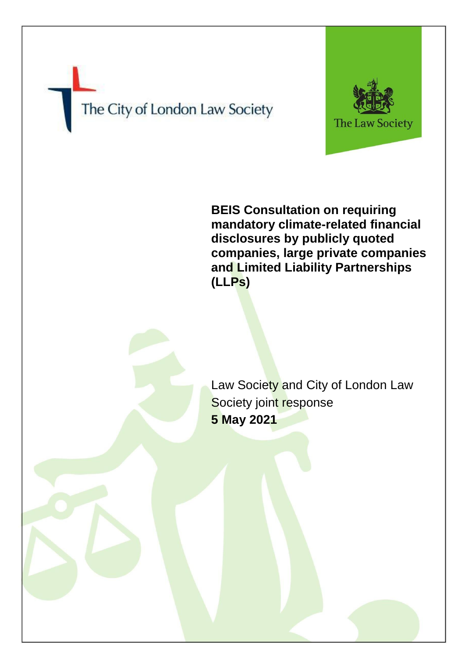# The City of London Law Society



**BEIS Consultation on requiring mandatory climate-related financial disclosures by publicly quoted companies, large private companies and Limited Liability Partnerships (LLPs)**

Law Society and City of London Law Society joint response **5 May 2021**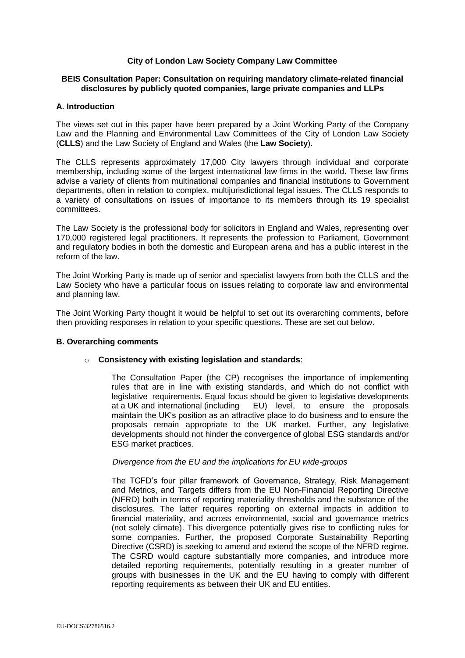# **City of London Law Society Company Law Committee**

# **BEIS Consultation Paper: Consultation on requiring mandatory climate-related financial disclosures by publicly quoted companies, large private companies and LLPs**

# **A. Introduction**

The views set out in this paper have been prepared by a Joint Working Party of the Company Law and the Planning and Environmental Law Committees of the City of London Law Society (**CLLS**) and the Law Society of England and Wales (the **Law Society**).

The CLLS represents approximately 17,000 City lawyers through individual and corporate membership, including some of the largest international law firms in the world. These law firms advise a variety of clients from multinational companies and financial institutions to Government departments, often in relation to complex, multijurisdictional legal issues. The CLLS responds to a variety of consultations on issues of importance to its members through its 19 specialist committees.

The Law Society is the professional body for solicitors in England and Wales, representing over 170,000 registered legal practitioners. It represents the profession to Parliament, Government and regulatory bodies in both the domestic and European arena and has a public interest in the reform of the law.

The Joint Working Party is made up of senior and specialist lawyers from both the CLLS and the Law Society who have a particular focus on issues relating to corporate law and environmental and planning law.

The Joint Working Party thought it would be helpful to set out its overarching comments, before then providing responses in relation to your specific questions. These are set out below.

#### **B. Overarching comments**

#### o **Consistency with existing legislation and standards**:

The Consultation Paper (the CP) recognises the importance of implementing rules that are in line with existing standards, and which do not conflict with legislative requirements. Equal focus should be given to legislative developments at a UK and international (including EU) level, to ensure the proposals maintain the UK's position as an attractive place to do business and to ensure the proposals remain appropriate to the UK market. Further, any legislative developments should not hinder the convergence of global ESG standards and/or ESG market practices.

# *Divergence from the EU and the implications for EU wide-groups*

The TCFD's four pillar framework of Governance, Strategy, Risk Management and Metrics, and Targets differs from the EU Non-Financial Reporting Directive (NFRD) both in terms of reporting materiality thresholds and the substance of the disclosures. The latter requires reporting on external impacts in addition to financial materiality, and across environmental, social and governance metrics (not solely climate). This divergence potentially gives rise to conflicting rules for some companies. Further, the proposed Corporate Sustainability Reporting Directive (CSRD) is seeking to amend and extend the scope of the NFRD regime. The CSRD would capture substantially more companies, and introduce more detailed reporting requirements, potentially resulting in a greater number of groups with businesses in the UK and the EU having to comply with different reporting requirements as between their UK and EU entities.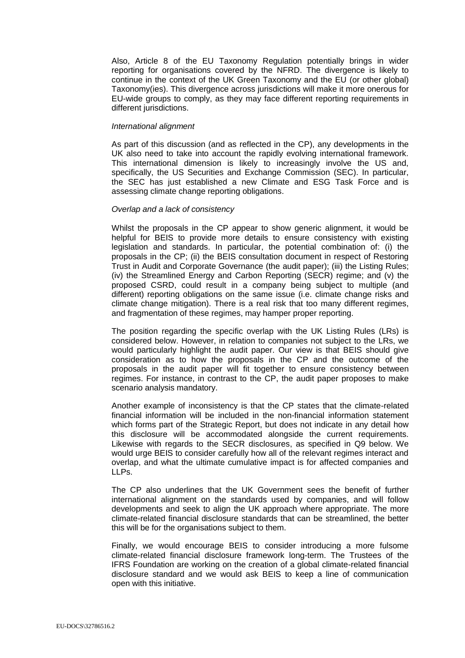Also, Article 8 of the EU Taxonomy Regulation potentially brings in wider reporting for organisations covered by the NFRD. The divergence is likely to continue in the context of the UK Green Taxonomy and the EU (or other global) Taxonomy(ies). This divergence across jurisdictions will make it more onerous for EU-wide groups to comply, as they may face different reporting requirements in different jurisdictions.

# *International alignment*

As part of this discussion (and as reflected in the CP), any developments in the UK also need to take into account the rapidly evolving international framework. This international dimension is likely to increasingly involve the US and, specifically, the US Securities and Exchange Commission (SEC). In particular, the SEC has just established a new Climate and ESG Task Force and is assessing climate change reporting obligations.

# *Overlap and a lack of consistency*

Whilst the proposals in the CP appear to show generic alignment, it would be helpful for BEIS to provide more details to ensure consistency with existing legislation and standards. In particular, the potential combination of: (i) the proposals in the CP; (ii) the BEIS consultation document in respect of Restoring Trust in Audit and Corporate Governance (the audit paper); (iii) the Listing Rules; (iv) the Streamlined Energy and Carbon Reporting (SECR) regime; and (v) the proposed CSRD, could result in a company being subject to multiple (and different) reporting obligations on the same issue (i.e. climate change risks and climate change mitigation). There is a real risk that too many different regimes, and fragmentation of these regimes, may hamper proper reporting.

The position regarding the specific overlap with the UK Listing Rules (LRs) is considered below. However, in relation to companies not subject to the LRs, we would particularly highlight the audit paper. Our view is that BEIS should give consideration as to how the proposals in the CP and the outcome of the proposals in the audit paper will fit together to ensure consistency between regimes. For instance, in contrast to the CP, the audit paper proposes to make scenario analysis mandatory.

Another example of inconsistency is that the CP states that the climate-related financial information will be included in the non-financial information statement which forms part of the Strategic Report, but does not indicate in any detail how this disclosure will be accommodated alongside the current requirements. Likewise with regards to the SECR disclosures, as specified in Q9 below. We would urge BEIS to consider carefully how all of the relevant regimes interact and overlap, and what the ultimate cumulative impact is for affected companies and LLPs.

The CP also underlines that the UK Government sees the benefit of further international alignment on the standards used by companies, and will follow developments and seek to align the UK approach where appropriate. The more climate-related financial disclosure standards that can be streamlined, the better this will be for the organisations subject to them.

Finally, we would encourage BEIS to consider introducing a more fulsome climate-related financial disclosure framework long-term. The Trustees of the IFRS Foundation are working on the creation of a global climate-related financial disclosure standard and we would ask BEIS to keep a line of communication open with this initiative.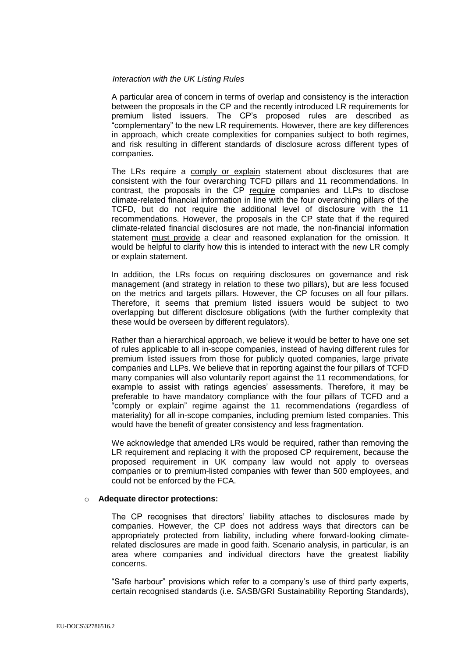# *Interaction with the UK Listing Rules*

A particular area of concern in terms of overlap and consistency is the interaction between the proposals in the CP and the recently introduced LR requirements for premium listed issuers. The CP's proposed rules are described as "complementary" to the new LR requirements. However, there are key differences in approach, which create complexities for companies subject to both regimes, and risk resulting in different standards of disclosure across different types of companies.

The LRs require a comply or explain statement about disclosures that are consistent with the four overarching TCFD pillars and 11 recommendations. In contrast, the proposals in the CP require companies and LLPs to disclose climate-related financial information in line with the four overarching pillars of the TCFD, but do not require the additional level of disclosure with the 11 recommendations. However, the proposals in the CP state that if the required climate-related financial disclosures are not made, the non-financial information statement must provide a clear and reasoned explanation for the omission. It would be helpful to clarify how this is intended to interact with the new LR comply or explain statement.

In addition, the LRs focus on requiring disclosures on governance and risk management (and strategy in relation to these two pillars), but are less focused on the metrics and targets pillars. However, the CP focuses on all four pillars. Therefore, it seems that premium listed issuers would be subject to two overlapping but different disclosure obligations (with the further complexity that these would be overseen by different regulators).

Rather than a hierarchical approach, we believe it would be better to have one set of rules applicable to all in-scope companies, instead of having different rules for premium listed issuers from those for publicly quoted companies, large private companies and LLPs. We believe that in reporting against the four pillars of TCFD many companies will also voluntarily report against the 11 recommendations, for example to assist with ratings agencies' assessments. Therefore, it may be preferable to have mandatory compliance with the four pillars of TCFD and a "comply or explain" regime against the 11 recommendations (regardless of materiality) for all in-scope companies, including premium listed companies. This would have the benefit of greater consistency and less fragmentation.

We acknowledge that amended LRs would be required, rather than removing the LR requirement and replacing it with the proposed CP requirement, because the proposed requirement in UK company law would not apply to overseas companies or to premium-listed companies with fewer than 500 employees, and could not be enforced by the FCA.

#### o **Adequate director protections:**

The CP recognises that directors' liability attaches to disclosures made by companies. However, the CP does not address ways that directors can be appropriately protected from liability, including where forward-looking climaterelated disclosures are made in good faith. Scenario analysis, in particular, is an area where companies and individual directors have the greatest liability concerns.

"Safe harbour" provisions which refer to a company's use of third party experts, certain recognised standards (i.e. SASB/GRI Sustainability Reporting Standards),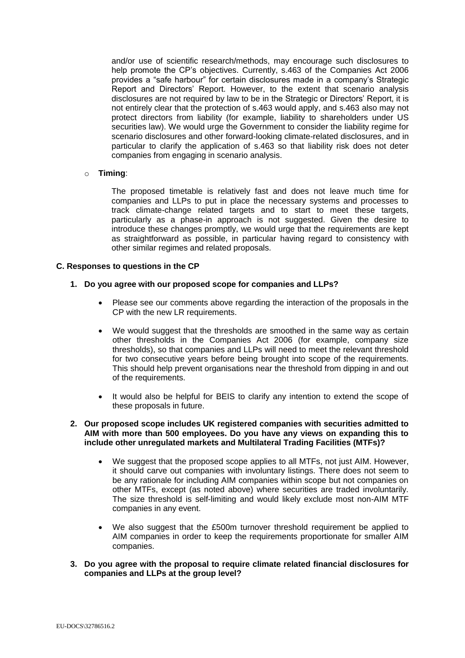and/or use of scientific research/methods, may encourage such disclosures to help promote the CP's objectives. Currently, s.463 of the Companies Act 2006 provides a "safe harbour" for certain disclosures made in a company's Strategic Report and Directors' Report. However, to the extent that scenario analysis disclosures are not required by law to be in the Strategic or Directors' Report, it is not entirely clear that the protection of s.463 would apply, and s.463 also may not protect directors from liability (for example, liability to shareholders under US securities law). We would urge the Government to consider the liability regime for scenario disclosures and other forward-looking climate-related disclosures, and in particular to clarify the application of s.463 so that liability risk does not deter companies from engaging in scenario analysis.

# o **Timing**:

The proposed timetable is relatively fast and does not leave much time for companies and LLPs to put in place the necessary systems and processes to track climate-change related targets and to start to meet these targets, particularly as a phase-in approach is not suggested. Given the desire to introduce these changes promptly, we would urge that the requirements are kept as straightforward as possible, in particular having regard to consistency with other similar regimes and related proposals.

# **C. Responses to questions in the CP**

# **1. Do you agree with our proposed scope for companies and LLPs?**

- Please see our comments above regarding the interaction of the proposals in the CP with the new LR requirements.
- We would suggest that the thresholds are smoothed in the same way as certain other thresholds in the Companies Act 2006 (for example, company size thresholds), so that companies and LLPs will need to meet the relevant threshold for two consecutive years before being brought into scope of the requirements. This should help prevent organisations near the threshold from dipping in and out of the requirements.
- It would also be helpful for BEIS to clarify any intention to extend the scope of these proposals in future.

# **2. Our proposed scope includes UK registered companies with securities admitted to AIM with more than 500 employees. Do you have any views on expanding this to include other unregulated markets and Multilateral Trading Facilities (MTFs)?**

- We suggest that the proposed scope applies to all MTFs, not just AIM. However, it should carve out companies with involuntary listings. There does not seem to be any rationale for including AIM companies within scope but not companies on other MTFs, except (as noted above) where securities are traded involuntarily. The size threshold is self-limiting and would likely exclude most non-AIM MTF companies in any event.
- We also suggest that the £500m turnover threshold requirement be applied to AIM companies in order to keep the requirements proportionate for smaller AIM companies.
- **3. Do you agree with the proposal to require climate related financial disclosures for companies and LLPs at the group level?**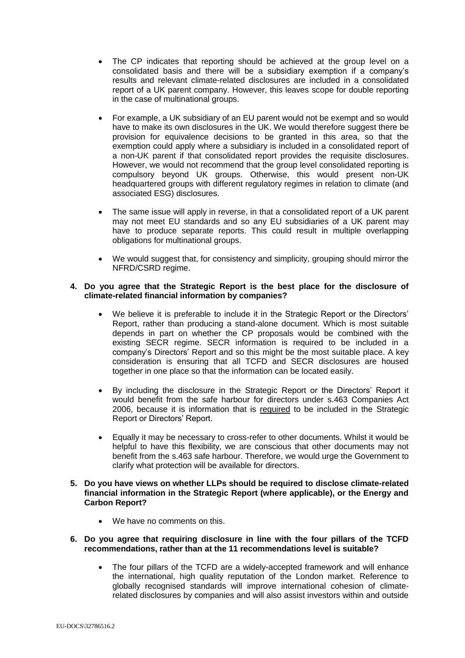- The CP indicates that reporting should be achieved at the group level on a consolidated basis and there will be a subsidiary exemption if a company's results and relevant climate-related disclosures are included in a consolidated report of a UK parent company. However, this leaves scope for double reporting in the case of multinational groups.
- For example, a UK subsidiary of an EU parent would not be exempt and so would have to make its own disclosures in the UK. We would therefore suggest there be provision for equivalence decisions to be granted in this area, so that the exemption could apply where a subsidiary is included in a consolidated report of a non-UK parent if that consolidated report provides the requisite disclosures. However, we would not recommend that the group level consolidated reporting is compulsory beyond UK groups. Otherwise, this would present non-UK headquartered groups with different regulatory regimes in relation to climate (and associated ESG) disclosures.
- The same issue will apply in reverse, in that a consolidated report of a UK parent may not meet EU standards and so any EU subsidiaries of a UK parent may have to produce separate reports. This could result in multiple overlapping obligations for multinational groups.
- We would suggest that, for consistency and simplicity, grouping should mirror the NFRD/CSRD regime.

# **4. Do you agree that the Strategic Report is the best place for the disclosure of climate-related financial information by companies?**

- We believe it is preferable to include it in the Strategic Report or the Directors' Report, rather than producing a stand-alone document. Which is most suitable depends in part on whether the CP proposals would be combined with the existing SECR regime. SECR information is required to be included in a company's Directors' Report and so this might be the most suitable place. A key consideration is ensuring that all TCFD and SECR disclosures are housed together in one place so that the information can be located easily.
- By including the disclosure in the Strategic Report or the Directors' Report it would benefit from the safe harbour for directors under s.463 Companies Act 2006, because it is information that is required to be included in the Strategic Report or Directors' Report.
- Equally it may be necessary to cross-refer to other documents. Whilst it would be helpful to have this flexibility, we are conscious that other documents may not benefit from the s.463 safe harbour. Therefore, we would urge the Government to clarify what protection will be available for directors.
- **5. Do you have views on whether LLPs should be required to disclose climate-related financial information in the Strategic Report (where applicable), or the Energy and Carbon Report?**
	- We have no comments on this.
- **6. Do you agree that requiring disclosure in line with the four pillars of the TCFD recommendations, rather than at the 11 recommendations level is suitable?**
	- The four pillars of the TCFD are a widely-accepted framework and will enhance the international, high quality reputation of the London market. Reference to globally recognised standards will improve international cohesion of climaterelated disclosures by companies and will also assist investors within and outside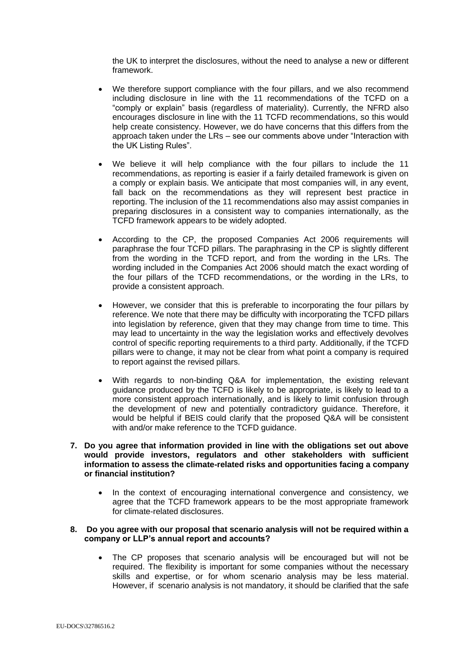the UK to interpret the disclosures, without the need to analyse a new or different framework.

- We therefore support compliance with the four pillars, and we also recommend including disclosure in line with the 11 recommendations of the TCFD on a "comply or explain" basis (regardless of materiality). Currently, the NFRD also encourages disclosure in line with the 11 TCFD recommendations, so this would help create consistency. However, we do have concerns that this differs from the approach taken under the LRs – see our comments above under "Interaction with the UK Listing Rules".
- We believe it will help compliance with the four pillars to include the 11 recommendations, as reporting is easier if a fairly detailed framework is given on a comply or explain basis. We anticipate that most companies will, in any event, fall back on the recommendations as they will represent best practice in reporting. The inclusion of the 11 recommendations also may assist companies in preparing disclosures in a consistent way to companies internationally, as the TCFD framework appears to be widely adopted.
- According to the CP, the proposed Companies Act 2006 requirements will paraphrase the four TCFD pillars. The paraphrasing in the CP is slightly different from the wording in the TCFD report, and from the wording in the LRs. The wording included in the Companies Act 2006 should match the exact wording of the four pillars of the TCFD recommendations, or the wording in the LRs, to provide a consistent approach.
- However, we consider that this is preferable to incorporating the four pillars by reference. We note that there may be difficulty with incorporating the TCFD pillars into legislation by reference, given that they may change from time to time. This may lead to uncertainty in the way the legislation works and effectively devolves control of specific reporting requirements to a third party. Additionally, if the TCFD pillars were to change, it may not be clear from what point a company is required to report against the revised pillars.
- With regards to non-binding Q&A for implementation, the existing relevant guidance produced by the TCFD is likely to be appropriate, is likely to lead to a more consistent approach internationally, and is likely to limit confusion through the development of new and potentially contradictory guidance. Therefore, it would be helpful if BEIS could clarify that the proposed Q&A will be consistent with and/or make reference to the TCFD guidance.
- **7. Do you agree that information provided in line with the obligations set out above would provide investors, regulators and other stakeholders with sufficient information to assess the climate-related risks and opportunities facing a company or financial institution?**
	- In the context of encouraging international convergence and consistency, we agree that the TCFD framework appears to be the most appropriate framework for climate-related disclosures.

# **8. Do you agree with our proposal that scenario analysis will not be required within a company or LLP's annual report and accounts?**

 The CP proposes that scenario analysis will be encouraged but will not be required. The flexibility is important for some companies without the necessary skills and expertise, or for whom scenario analysis may be less material. However, if scenario analysis is not mandatory, it should be clarified that the safe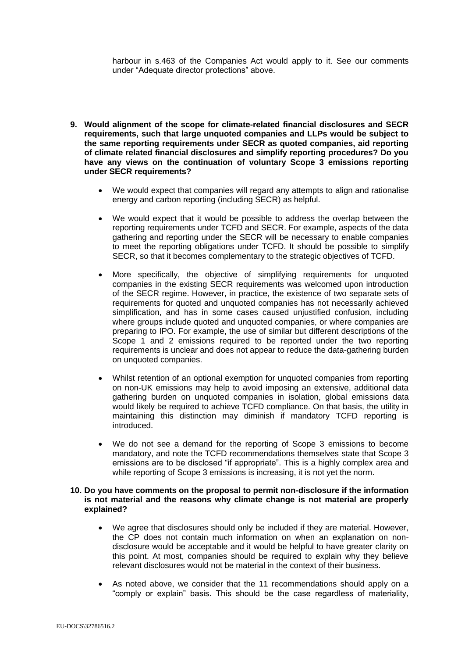harbour in s.463 of the Companies Act would apply to it. See our comments under "Adequate director protections" above.

- **9. Would alignment of the scope for climate-related financial disclosures and SECR requirements, such that large unquoted companies and LLPs would be subject to the same reporting requirements under SECR as quoted companies, aid reporting of climate related financial disclosures and simplify reporting procedures? Do you have any views on the continuation of voluntary Scope 3 emissions reporting under SECR requirements?**
	- We would expect that companies will regard any attempts to align and rationalise energy and carbon reporting (including SECR) as helpful.
	- We would expect that it would be possible to address the overlap between the reporting requirements under TCFD and SECR. For example, aspects of the data gathering and reporting under the SECR will be necessary to enable companies to meet the reporting obligations under TCFD. It should be possible to simplify SECR, so that it becomes complementary to the strategic objectives of TCFD.
	- More specifically, the objective of simplifying requirements for unquoted companies in the existing SECR requirements was welcomed upon introduction of the SECR regime. However, in practice, the existence of two separate sets of requirements for quoted and unquoted companies has not necessarily achieved simplification, and has in some cases caused unjustified confusion, including where groups include quoted and unquoted companies, or where companies are preparing to IPO. For example, the use of similar but different descriptions of the Scope 1 and 2 emissions required to be reported under the two reporting requirements is unclear and does not appear to reduce the data-gathering burden on unquoted companies.
	- Whilst retention of an optional exemption for unquoted companies from reporting on non-UK emissions may help to avoid imposing an extensive, additional data gathering burden on unquoted companies in isolation, global emissions data would likely be required to achieve TCFD compliance. On that basis, the utility in maintaining this distinction may diminish if mandatory TCFD reporting is introduced.
	- We do not see a demand for the reporting of Scope 3 emissions to become mandatory, and note the TCFD recommendations themselves state that Scope 3 emissions are to be disclosed "if appropriate". This is a highly complex area and while reporting of Scope 3 emissions is increasing, it is not yet the norm.

#### **10. Do you have comments on the proposal to permit non-disclosure if the information is not material and the reasons why climate change is not material are properly explained?**

- We agree that disclosures should only be included if they are material. However, the CP does not contain much information on when an explanation on nondisclosure would be acceptable and it would be helpful to have greater clarity on this point. At most, companies should be required to explain why they believe relevant disclosures would not be material in the context of their business.
- As noted above, we consider that the 11 recommendations should apply on a "comply or explain" basis. This should be the case regardless of materiality,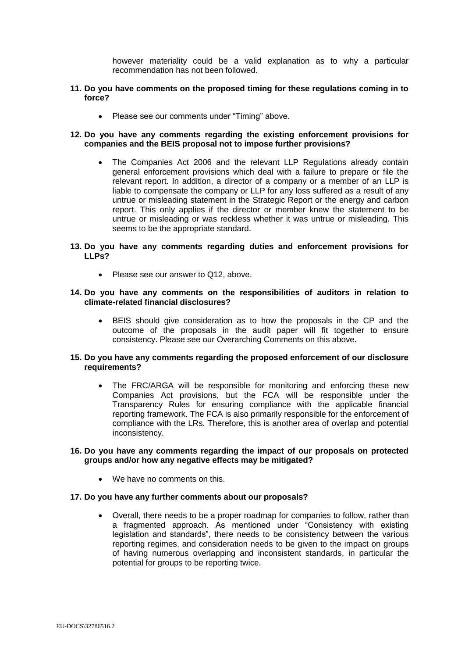however materiality could be a valid explanation as to why a particular recommendation has not been followed.

# **11. Do you have comments on the proposed timing for these regulations coming in to force?**

• Please see our comments under "Timing" above.

# **12. Do you have any comments regarding the existing enforcement provisions for companies and the BEIS proposal not to impose further provisions?**

 The Companies Act 2006 and the relevant LLP Regulations already contain general enforcement provisions which deal with a failure to prepare or file the relevant report. In addition, a director of a company or a member of an LLP is liable to compensate the company or LLP for any loss suffered as a result of any untrue or misleading statement in the Strategic Report or the energy and carbon report. This only applies if the director or member knew the statement to be untrue or misleading or was reckless whether it was untrue or misleading. This seems to be the appropriate standard.

# **13. Do you have any comments regarding duties and enforcement provisions for LLPs?**

• Please see our answer to Q12, above.

#### **14. Do you have any comments on the responsibilities of auditors in relation to climate-related financial disclosures?**

 BEIS should give consideration as to how the proposals in the CP and the outcome of the proposals in the audit paper will fit together to ensure consistency. Please see our Overarching Comments on this above.

# **15. Do you have any comments regarding the proposed enforcement of our disclosure requirements?**

 The FRC/ARGA will be responsible for monitoring and enforcing these new Companies Act provisions, but the FCA will be responsible under the Transparency Rules for ensuring compliance with the applicable financial reporting framework. The FCA is also primarily responsible for the enforcement of compliance with the LRs. Therefore, this is another area of overlap and potential inconsistency.

# **16. Do you have any comments regarding the impact of our proposals on protected groups and/or how any negative effects may be mitigated?**

• We have no comments on this.

# **17. Do you have any further comments about our proposals?**

 Overall, there needs to be a proper roadmap for companies to follow, rather than a fragmented approach. As mentioned under "Consistency with existing legislation and standards", there needs to be consistency between the various reporting regimes, and consideration needs to be given to the impact on groups of having numerous overlapping and inconsistent standards, in particular the potential for groups to be reporting twice.